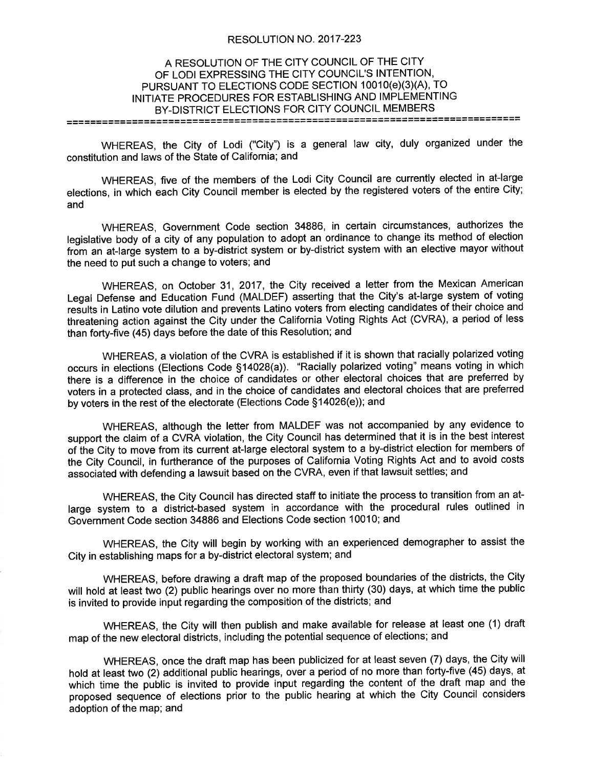## RESOLUTION NO. 2017-223

## A RESOLUTION OF THE CITY COUNCIL OF THE CITY OF LODI EXPRESSING THE CITY COUNCIL'S INTENTION, PURSUANT TO ELECTIONS CODE SECTION 10010(e)(3)(A), TO INITIATE PROCEDURES FOR ESTABLISHING AND IMPLEMENTING BY-DISTRICT ELECTIONS FOR CITY COUNCIL MEMBERS

WHEREAS, the City of Lodi ("City") is a general law city, duly organized under the constitution and laws of the State of California; and

WHEREAS, five of the members of the Lodi City Council are currently elected in at-large elections, in which each City Council member is elected by the registered voters of the entire City; and

WHEREAS, Government Code section 34886, in certain circumstances, authorizes the legislative body of a city of any population to adopt an ordinance to change its method of election from an at-large system to a by-district system or by-district system with an elective mayor without the need to put such a change to voters; and

WHEREAS, on October 31, 2017, the City received a letter from the Mexican American Legal Defense and Education Fund (MALDEF) asserting that the City's at-large system of voting results in Latino vote dilution and prevents Latino voters from electing candidates of their choice and threatening action against the City under the California Voting Rights Act (CVRA), a period of less than forty-five (45) days before the date of this Resolution; and

WHEREAS, a violation of the CVRA is established if it is shown that racially polarized voting occurs in elections (Elections Code \$1402S(a)). "Racially polarized voting" means voting in which there is a difference in the choice of candidates or other electoral choices that are preferred by voters in a protected class, and in the choice of candidates and electoral choices that are preferred by voters in the rest of the electorate (Elections Code \$14026(e)); and

WHEREAS, although the letter from MALDEF was not accompanied by any evidence to support the claim of a CVRA violation, the City Council has determined that it is in the best interest of ifre City to move from its current at-large electoral system to a by-district election for members of the City Council, in furtherance of the purposes of California Voting Rights Act and to avoid costs associated with defending a lawsuit based on the CVRA, even if that lawsuit settles; and

WHEREAS, the City Council has directed staff to initiate the process to transition from an atlarge system to a district-based system in accordance with the procedural rules outlined in Government Code section 34886 and Elections Code section 10010; and

WHEREAS, the City will begin by working with an experienced demographer to assist the City in establishing maps for a by-district electoral system; and

WHEREAS, before drawing a draft map of the proposed boundaries of the districts, the City will hold at least two (2) public hearings over no more than thirty (30) days, at which time the public is invited to provide input regarding the composition of the districts; and

WHEREAS, the City will then publish and make available for release at least one (1) draft map of the new electoral districts, including the potential sequence of elections; and

WHEREAS, once the draft map has been publicized for at least seven (7) days, the City will hold at least two (2) additional public hearings, over a period of no more than forty-five (45) days, at which time the public is invited to provide input regarding the content of the draft map and the proposed sequence of elections prior to the public hearing at which the City Council considers adoption of the map; and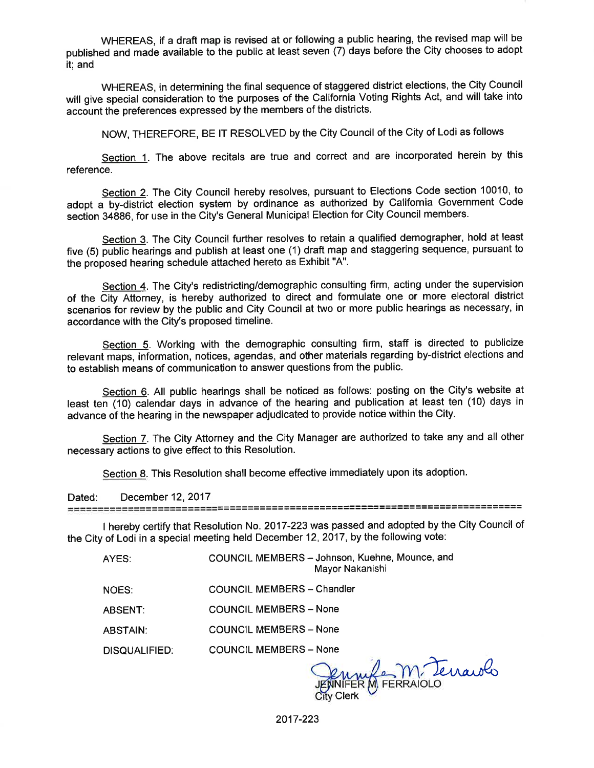WHEREAS, if a draft map is revised at or following a public hearing, the revised map will be published and made available to the public at least seven (7) days before the City chooses to adopt it; and

WHEREAS, in determining the final sequence of staggered district elections, the City Council will give special consideration to the purposes of the California Voting Rights Act, and will take into account the preferences expressed by the members of the districts.

NOW, THEREFORE, BE lT RESOLVED by the City Council of the City of Lodi as follows

Section 1. The above recitals are true and correct and are incorporated herein by this reference.

Section 2. The City Council hereby resolves, pursuant to Elections Code section 10010, to adopt a by-district election system by ordinance as authorized by California Government Code section 34886, for use in the City's General Municipal Election for City Council members.

Section 3. The City Council further resolves to retain a qualified demographer, hold at least five (5) public hearings and publish at least one (1) draft map and staggering sequence, pursuant to the proposed hearing schedule attached hereto as Exhibit "4".

Section 4. The City's redistricting/demographic consulting firm, acting under the supervision of the City Attorney, is hereby authorized to direct and formulate one or more electoral district scenarios for review by the public and City Council at two or more public hearings as necessary, in accordance with the City's proposed timeline.

Section 5. Working with the demographic consulting firm, staff is directed to publicize relevant maps, information, notices, agendas, and other materials regarding by-district elections and to establish means of communication to answer questions from the pubfic.

Section 6. All public hearings shall be noticed as follows: posting on the City's website at least ten (10) calendar days in advance of the hearing and publication at least ten (10) days in advance of the hearing in the newspaper adjudicated to provide notice within the City.

Section 7. The City Attorney and the City Manager are authorized to take any and all other necessary actions to give effect to this Resolution.

Section 8. This Resolution shall become effective immediately upon its adoption.

Dated: December12,2017

I hereby certify that Resolution No. 2017-223 was passed and adopted by the City Council of the City of Lodi in a special meeting held December 12,2017 , by the following vote:

| AYES:           | COUNCIL MEMBERS - Johnson, Kuehne, Mounce, and<br>Mayor Nakanishi |
|-----------------|-------------------------------------------------------------------|
| NOES:           | <b>COUNCIL MEMBERS - Chandler</b>                                 |
| ABSENT:         | <b>COUNCIL MEMBERS - None</b>                                     |
| <b>ABSTAIN:</b> | <b>COUNCIL MEMBERS - None</b>                                     |
| DISQUALIFIED:   | <b>COUNCIL MEMBERS - None</b>                                     |

N Clerk ERM FERRAIOLO